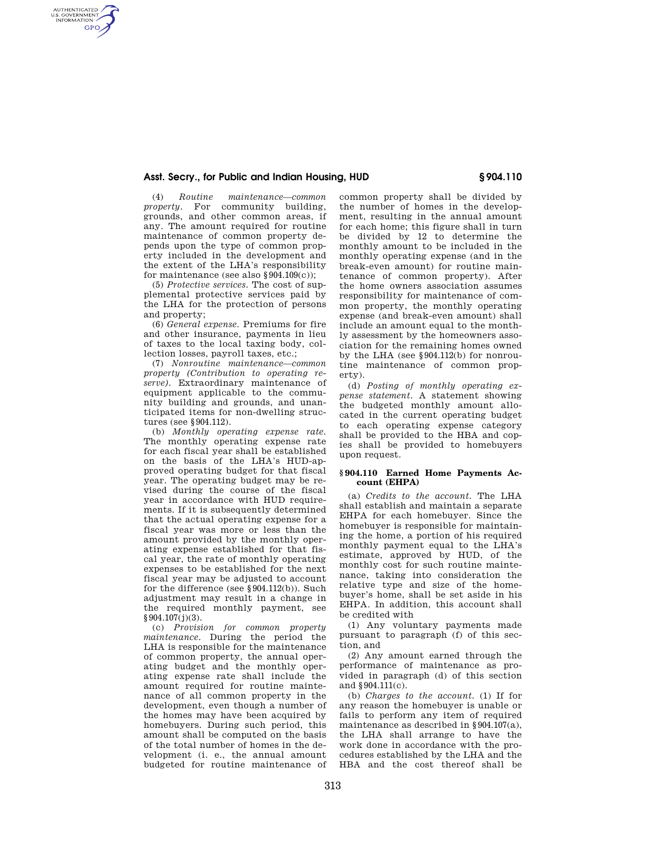## **Asst. Secry., for Public and Indian Housing, HUD § 904.110**

(4) *Routine maintenance—common property.* For community building, grounds, and other common areas, if any. The amount required for routine maintenance of common property depends upon the type of common property included in the development and the extent of the LHA's responsibility for maintenance (see also §904.109(c));

AUTHENTICATED<br>U.S. GOVERNMENT<br>INFORMATION **GPO** 

> (5) *Protective services.* The cost of supplemental protective services paid by the LHA for the protection of persons and property;

> (6) *General expense.* Premiums for fire and other insurance, payments in lieu of taxes to the local taxing body, collection losses, payroll taxes, etc.;

> (7) *Nonroutine maintenance—common property (Contribution to operating reserve).* Extraordinary maintenance of equipment applicable to the community building and grounds, and unanticipated items for non-dwelling structures (see §904.112).

> (b) *Monthly operating expense rate.*  The monthly operating expense rate for each fiscal year shall be established on the basis of the LHA's HUD-approved operating budget for that fiscal year. The operating budget may be revised during the course of the fiscal year in accordance with HUD requirements. If it is subsequently determined that the actual operating expense for a fiscal year was more or less than the amount provided by the monthly operating expense established for that fiscal year, the rate of monthly operating expenses to be established for the next fiscal year may be adjusted to account for the difference (see §904.112(b)). Such adjustment may result in a change in the required monthly payment, see  $§ 904.107(j)(3)$ .

> (c) *Provision for common property maintenance.* During the period the LHA is responsible for the maintenance of common property, the annual operating budget and the monthly operating expense rate shall include the amount required for routine maintenance of all common property in the development, even though a number of the homes may have been acquired by homebuyers. During such period, this amount shall be computed on the basis of the total number of homes in the development (i. e., the annual amount budgeted for routine maintenance of

common property shall be divided by the number of homes in the development, resulting in the annual amount for each home; this figure shall in turn be divided by 12 to determine the monthly amount to be included in the monthly operating expense (and in the break-even amount) for routine maintenance of common property). After the home owners association assumes responsibility for maintenance of common property, the monthly operating expense (and break-even amount) shall include an amount equal to the monthly assessment by the homeowners association for the remaining homes owned by the LHA (see §904.112(b) for nonroutine maintenance of common property).

(d) *Posting of monthly operating expense statement.* A statement showing the budgeted monthly amount allocated in the current operating budget to each operating expense category shall be provided to the HBA and copies shall be provided to homebuyers upon request.

## **§ 904.110 Earned Home Payments Account (EHPA)**

(a) *Credits to the account.* The LHA shall establish and maintain a separate EHPA for each homebuyer. Since the homebuyer is responsible for maintaining the home, a portion of his required monthly payment equal to the LHA's estimate, approved by HUD, of the monthly cost for such routine maintenance, taking into consideration the relative type and size of the homebuyer's home, shall be set aside in his EHPA. In addition, this account shall be credited with

(1) Any voluntary payments made pursuant to paragraph (f) of this section, and

(2) Any amount earned through the performance of maintenance as provided in paragraph (d) of this section and §904.111(c).

(b) *Charges to the account.* (1) If for any reason the homebuyer is unable or fails to perform any item of required maintenance as described in §904.107(a), the LHA shall arrange to have the work done in accordance with the procedures established by the LHA and the HBA and the cost thereof shall be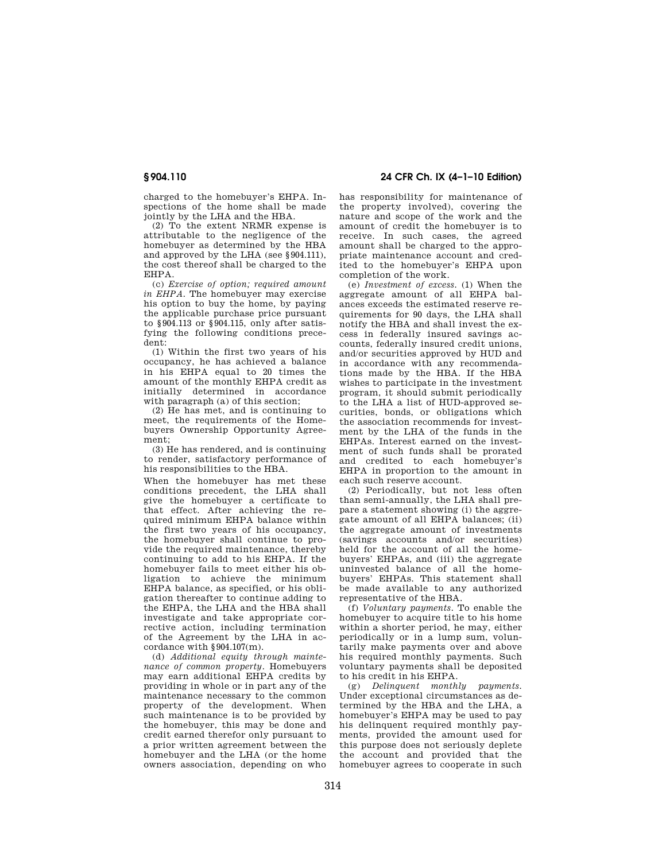charged to the homebuyer's EHPA. Inspections of the home shall be made jointly by the LHA and the HBA.

(2) To the extent NRMR expense is attributable to the negligence of the homebuyer as determined by the HBA and approved by the LHA (see §904.111), the cost thereof shall be charged to the EHPA.

(c) *Exercise of option; required amount in EHPA.* The homebuyer may exercise his option to buy the home, by paying the applicable purchase price pursuant to §904.113 or §904.115, only after satisfying the following conditions precedent:

(1) Within the first two years of his occupancy, he has achieved a balance in his EHPA equal to 20 times the amount of the monthly EHPA credit as initially determined in accordance with paragraph (a) of this section;

(2) He has met, and is continuing to meet, the requirements of the Homebuyers Ownership Opportunity Agreement;

(3) He has rendered, and is continuing to render, satisfactory performance of his responsibilities to the HBA.

When the homebuyer has met these conditions precedent, the LHA shall give the homebuyer a certificate to that effect. After achieving the required minimum EHPA balance within the first two years of his occupancy, the homebuyer shall continue to provide the required maintenance, thereby continuing to add to his EHPA. If the homebuyer fails to meet either his obligation to achieve the minimum EHPA balance, as specified, or his obligation thereafter to continue adding to the EHPA, the LHA and the HBA shall investigate and take appropriate corrective action, including termination of the Agreement by the LHA in accordance with §904.107(m).

(d) *Additional equity through maintenance of common property.* Homebuyers may earn additional EHPA credits by providing in whole or in part any of the maintenance necessary to the common property of the development. When such maintenance is to be provided by the homebuyer, this may be done and credit earned therefor only pursuant to a prior written agreement between the homebuyer and the LHA (or the home owners association, depending on who

**§ 904.110 24 CFR Ch. IX (4–1–10 Edition)** 

has responsibility for maintenance of the property involved), covering the nature and scope of the work and the amount of credit the homebuyer is to receive. In such cases, the agreed amount shall be charged to the appropriate maintenance account and credited to the homebuyer's EHPA upon completion of the work.

(e) *Investment of excess.* (1) When the aggregate amount of all EHPA balances exceeds the estimated reserve requirements for 90 days, the LHA shall notify the HBA and shall invest the excess in federally insured savings accounts, federally insured credit unions, and/or securities approved by HUD and in accordance with any recommendations made by the HBA. If the HBA wishes to participate in the investment program, it should submit periodically to the LHA a list of HUD-approved securities, bonds, or obligations which the association recommends for investment by the LHA of the funds in the EHPAs. Interest earned on the investment of such funds shall be prorated and credited to each homebuyer's EHPA in proportion to the amount in each such reserve account.

(2) Periodically, but not less often than semi-annually, the LHA shall prepare a statement showing (i) the aggregate amount of all EHPA balances; (ii) the aggregate amount of investments (savings accounts and/or securities) held for the account of all the homebuyers' EHPAs, and (iii) the aggregate uninvested balance of all the homebuyers' EHPAs. This statement shall be made available to any authorized representative of the HBA.

(f) *Voluntary payments.* To enable the homebuyer to acquire title to his home within a shorter period, he may, either periodically or in a lump sum, voluntarily make payments over and above his required monthly payments. Such voluntary payments shall be deposited to his credit in his EHPA.

(g) *Delinquent monthly payments.*  Under exceptional circumstances as determined by the HBA and the LHA, a homebuyer's EHPA may be used to pay his delinquent required monthly payments, provided the amount used for this purpose does not seriously deplete the account and provided that the homebuyer agrees to cooperate in such